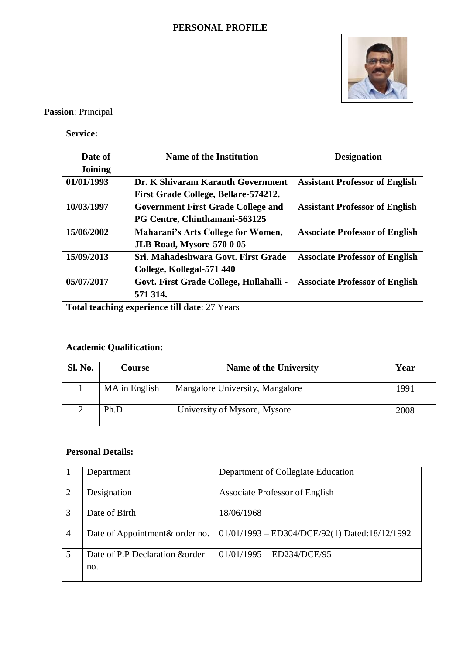#### **PERSONAL PROFILE**



**Passion**: Principal

**Service:**

| Date of    | <b>Name of the Institution</b>            | <b>Designation</b>                    |
|------------|-------------------------------------------|---------------------------------------|
| Joining    |                                           |                                       |
| 01/01/1993 | Dr. K Shivaram Karanth Government         | <b>Assistant Professor of English</b> |
|            | First Grade College, Bellare-574212.      |                                       |
| 10/03/1997 | <b>Government First Grade College and</b> | <b>Assistant Professor of English</b> |
|            | PG Centre, Chinthamani-563125             |                                       |
| 15/06/2002 | <b>Maharani's Arts College for Women,</b> | <b>Associate Professor of English</b> |
|            | <b>JLB Road, Mysore-570 0 05</b>          |                                       |
| 15/09/2013 | Sri. Mahadeshwara Govt. First Grade       | <b>Associate Professor of English</b> |
|            | College, Kollegal-571 440                 |                                       |
| 05/07/2017 | Govt. First Grade College, Hullahalli -   | <b>Associate Professor of English</b> |
|            | 571 314.                                  |                                       |

**Total teaching experience till date**: 27 Years

# **Academic Qualification:**

| Sl. No. | Course        | Name of the University          | Year |
|---------|---------------|---------------------------------|------|
|         | MA in English | Mangalore University, Mangalore | 1991 |
|         | Ph.D          | University of Mysore, Mysore    | 2008 |

## **Personal Details:**

|                | Department                      | Department of Collegiate Education              |
|----------------|---------------------------------|-------------------------------------------------|
| 2              | Designation                     | Associate Professor of English                  |
| 3              | Date of Birth                   | 18/06/1968                                      |
| $\overline{4}$ | Date of Appointment & order no. | $01/01/1993 - ED304/DCE/92(1) Dated:18/12/1992$ |
| 5              | Date of P.P Declaration & order | 01/01/1995 - ED234/DCE/95                       |
|                | no.                             |                                                 |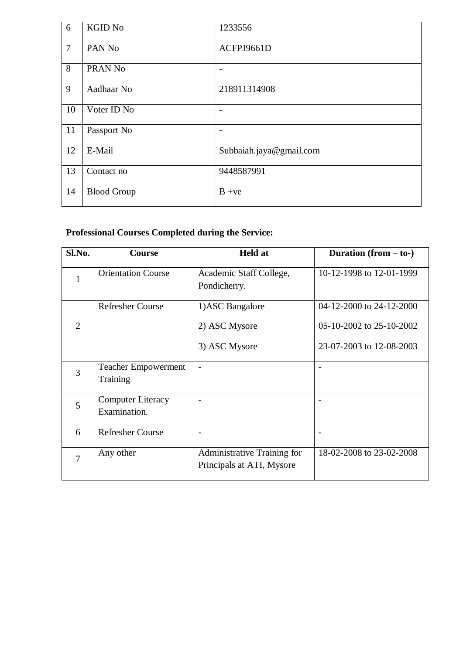| 6               | <b>KGID No</b>     | 1233556                 |
|-----------------|--------------------|-------------------------|
| $7\phantom{.0}$ | PAN No             | ACFPJ9661D              |
| 8               | PRAN No            |                         |
| 9               | Aadhaar No         | 218911314908            |
| 10              | Voter ID No        |                         |
| 11              | Passport No        |                         |
| 12              | E-Mail             | Subbaiah.jaya@gmail.com |
| 13              | Contact no         | 9448587991              |
| 14              | <b>Blood Group</b> | $B + ve$                |

# **Professional Courses Completed during the Service:**

| Sl.No.         | <b>Course</b>                                 | <b>Held at</b>                                           | Duration $(from - to-)$                              |
|----------------|-----------------------------------------------|----------------------------------------------------------|------------------------------------------------------|
| 1              | <b>Orientation Course</b>                     | Academic Staff College,<br>Pondicherry.                  | 10-12-1998 to 12-01-1999                             |
| 2              | <b>Refresher Course</b>                       | 1) ASC Bangalore<br>2) ASC Mysore                        | 04-12-2000 to 24-12-2000<br>05-10-2002 to 25-10-2002 |
|                |                                               | 3) ASC Mysore                                            | 23-07-2003 to 12-08-2003                             |
| $\overline{3}$ | <b>Teacher Empowerment</b><br><b>Training</b> |                                                          |                                                      |
| 5              | <b>Computer Literacy</b><br>Examination.      |                                                          |                                                      |
| 6              | <b>Refresher Course</b>                       |                                                          |                                                      |
| $\overline{7}$ | Any other                                     | Administrative Training for<br>Principals at ATI, Mysore | 18-02-2008 to 23-02-2008                             |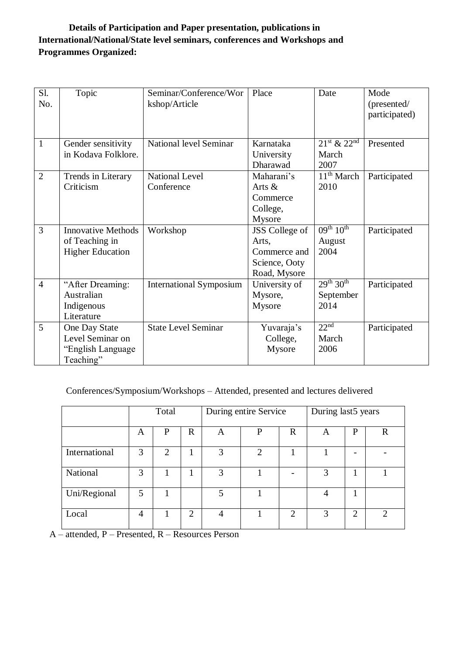## **Details of Participation and Paper presentation, publications in International/National/State level seminars, conferences and Workshops and Programmes Organized:**

| S1.<br>No.     | Topic                                                                  | Seminar/Conference/Wor<br>kshop/Article | Place                                                                    | Date                                            | Mode<br>(presented/<br>participated) |
|----------------|------------------------------------------------------------------------|-----------------------------------------|--------------------------------------------------------------------------|-------------------------------------------------|--------------------------------------|
| 1              | Gender sensitivity<br>in Kodava Folklore.                              | National level Seminar                  | Karnataka<br>University<br>Dharawad                                      | $21^{st}$ & $22^{nd}$<br>March<br>2007          | Presented                            |
| $\overline{2}$ | Trends in Literary<br>Criticism                                        | <b>National Level</b><br>Conference     | Maharani's<br>Arts $\&$<br>Commerce<br>College,<br>Mysore                | 11 <sup>th</sup> March<br>2010                  | Participated                         |
| 3              | <b>Innovative Methods</b><br>of Teaching in<br><b>Higher Education</b> | Workshop                                | JSS College of<br>Arts,<br>Commerce and<br>Science, Ooty<br>Road, Mysore | $09^{th} 10^{th}$<br>August<br>2004             | Participated                         |
| $\overline{4}$ | "After Dreaming:<br>Australian<br>Indigenous<br>Literature             | <b>International Symposium</b>          | University of<br>Mysore,<br>Mysore                                       | $29^{th}$ 30 <sup>th</sup><br>September<br>2014 | Participated                         |
| 5              | One Day State<br>Level Seminar on<br>"English Language<br>Teaching"    | <b>State Level Seminar</b>              | Yuvaraja's<br>College,<br>Mysore                                         | 22 <sup>nd</sup><br>March<br>2006               | Participated                         |

## Conferences/Symposium/Workshops – Attended, presented and lectures delivered

|               | Total |   |             | During entire Service |                |                             | During last5 years |                |             |
|---------------|-------|---|-------------|-----------------------|----------------|-----------------------------|--------------------|----------------|-------------|
|               | A     | P | $\mathbf R$ | A                     | P              | $\mathbf R$                 | A                  | P              | $\mathbf R$ |
| International | 3     | 2 |             | 3                     | $\overline{2}$ |                             |                    |                |             |
| National      | 3     |   |             | 3                     |                |                             | 3                  |                |             |
| Uni/Regional  | 5     |   |             | 5                     |                |                             | 4                  |                |             |
| Local         | 4     |   | 2           | 4                     |                | $\mathcal{D}_{\mathcal{L}}$ | 3                  | $\overline{2}$ | ◠           |

A – attended, P – Presented, R – Resources Person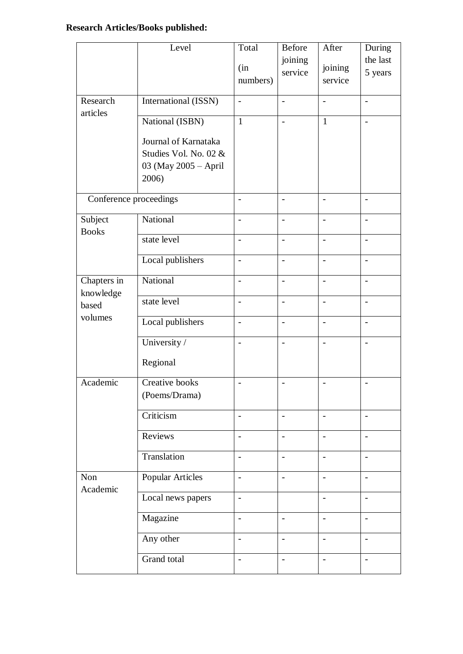# **Research Articles/Books published:**

|                          | Level                   | Total                    | Before                   | After                    | During                   |
|--------------------------|-------------------------|--------------------------|--------------------------|--------------------------|--------------------------|
|                          |                         |                          | joining                  |                          | the last                 |
|                          |                         | (in                      | service                  | joining                  | 5 years                  |
|                          |                         | numbers)                 |                          | service                  |                          |
| Research<br>articles     | International (ISSN)    | $\overline{\phantom{0}}$ | $\overline{\phantom{a}}$ | $\overline{\phantom{a}}$ | $\overline{\phantom{a}}$ |
|                          | National (ISBN)         | $\mathbf{1}$             | $\overline{\phantom{0}}$ | $\mathbf{1}$             | $\overline{\phantom{a}}$ |
|                          | Journal of Karnataka    |                          |                          |                          |                          |
|                          | Studies Vol. No. 02 &   |                          |                          |                          |                          |
|                          | 03 (May 2005 - April    |                          |                          |                          |                          |
|                          | 2006)                   |                          |                          |                          |                          |
|                          |                         |                          |                          |                          |                          |
| Conference proceedings   |                         | $\overline{\phantom{0}}$ | $\overline{\phantom{0}}$ | $\overline{\phantom{0}}$ | $\overline{\phantom{a}}$ |
| Subject<br><b>Books</b>  | National                | $\overline{\phantom{a}}$ | $\overline{\phantom{a}}$ | $\frac{1}{2}$            | $\overline{\phantom{a}}$ |
|                          | state level             | $\overline{a}$           | $\blacksquare$           | $\overline{a}$           | $\overline{a}$           |
|                          | Local publishers        | $\overline{a}$           | $\overline{a}$           | $\overline{a}$           | $\overline{\phantom{a}}$ |
| Chapters in<br>knowledge | National                | $\overline{a}$           | $\blacksquare$           | $\overline{a}$           | $\overline{\phantom{a}}$ |
| based<br>volumes         | state level             | $\overline{\phantom{0}}$ | $\overline{\phantom{a}}$ | $\overline{a}$           | $\overline{\phantom{a}}$ |
|                          | Local publishers        | $\overline{\phantom{a}}$ | $\overline{\phantom{a}}$ | $\overline{\phantom{a}}$ | $\overline{\phantom{a}}$ |
|                          | University /            | $\overline{\phantom{0}}$ | $\overline{\phantom{0}}$ | $\overline{a}$           |                          |
|                          | Regional                |                          |                          |                          |                          |
| Academic                 | Creative books          | $\overline{\phantom{a}}$ | $\overline{\phantom{a}}$ | $\overline{\phantom{m}}$ | $\overline{\phantom{a}}$ |
|                          | (Poems/Drama)           |                          |                          |                          |                          |
|                          | Criticism               | $\blacksquare$           | $-$                      | $\blacksquare$           | $\overline{\phantom{a}}$ |
|                          | Reviews                 | $\overline{\phantom{0}}$ | $\blacksquare$           | $\overline{a}$           | $\overline{\phantom{a}}$ |
|                          | Translation             | $\overline{\phantom{0}}$ | $\overline{\phantom{a}}$ | $\overline{\phantom{a}}$ | $\overline{\phantom{a}}$ |
| Non<br>Academic          | <b>Popular Articles</b> | $\overline{a}$           | $\blacksquare$           | $\overline{\phantom{0}}$ | $\overline{\phantom{a}}$ |
|                          | Local news papers       | $\overline{a}$           |                          | $\overline{a}$           | $\overline{a}$           |
|                          | Magazine                | $\blacksquare$           | $\blacksquare$           | $\overline{a}$           | $\overline{\phantom{a}}$ |
|                          | Any other               | $\overline{\phantom{0}}$ | $\blacksquare$           | $\overline{a}$           | $\overline{\phantom{a}}$ |
|                          | Grand total             | $\overline{\phantom{0}}$ | $\overline{\phantom{a}}$ | $\overline{\phantom{0}}$ | $\overline{\phantom{a}}$ |